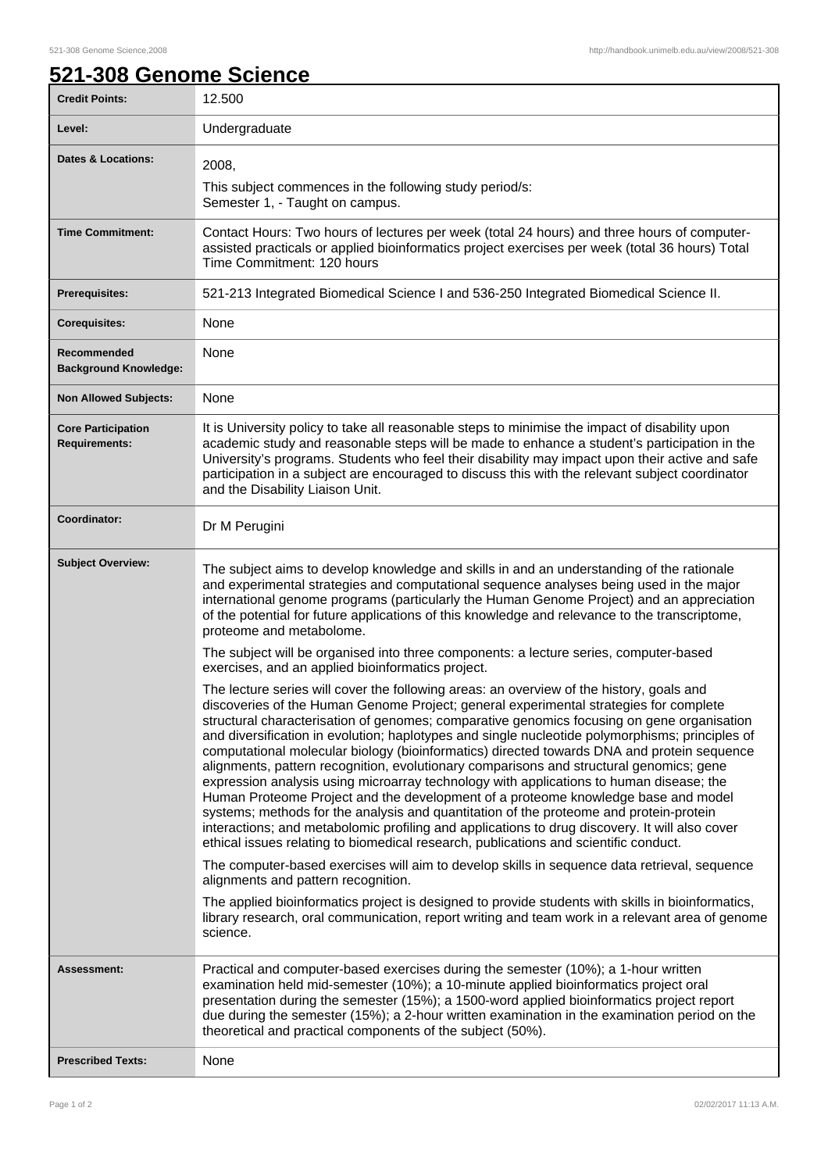## **521-308 Genome Science**

| <b>Credit Points:</b>                             | 12.500                                                                                                                                                                                                                                                                                                                                                                                                                                                                                                                                                                                                                                                                                                                                                                                                                                                                                                                                                                                                                                          |
|---------------------------------------------------|-------------------------------------------------------------------------------------------------------------------------------------------------------------------------------------------------------------------------------------------------------------------------------------------------------------------------------------------------------------------------------------------------------------------------------------------------------------------------------------------------------------------------------------------------------------------------------------------------------------------------------------------------------------------------------------------------------------------------------------------------------------------------------------------------------------------------------------------------------------------------------------------------------------------------------------------------------------------------------------------------------------------------------------------------|
| Level:                                            | Undergraduate                                                                                                                                                                                                                                                                                                                                                                                                                                                                                                                                                                                                                                                                                                                                                                                                                                                                                                                                                                                                                                   |
| <b>Dates &amp; Locations:</b>                     | 2008,<br>This subject commences in the following study period/s:<br>Semester 1, - Taught on campus.                                                                                                                                                                                                                                                                                                                                                                                                                                                                                                                                                                                                                                                                                                                                                                                                                                                                                                                                             |
| <b>Time Commitment:</b>                           | Contact Hours: Two hours of lectures per week (total 24 hours) and three hours of computer-<br>assisted practicals or applied bioinformatics project exercises per week (total 36 hours) Total<br>Time Commitment: 120 hours                                                                                                                                                                                                                                                                                                                                                                                                                                                                                                                                                                                                                                                                                                                                                                                                                    |
| Prerequisites:                                    | 521-213 Integrated Biomedical Science I and 536-250 Integrated Biomedical Science II.                                                                                                                                                                                                                                                                                                                                                                                                                                                                                                                                                                                                                                                                                                                                                                                                                                                                                                                                                           |
| <b>Corequisites:</b>                              | None                                                                                                                                                                                                                                                                                                                                                                                                                                                                                                                                                                                                                                                                                                                                                                                                                                                                                                                                                                                                                                            |
| Recommended<br><b>Background Knowledge:</b>       | None                                                                                                                                                                                                                                                                                                                                                                                                                                                                                                                                                                                                                                                                                                                                                                                                                                                                                                                                                                                                                                            |
| <b>Non Allowed Subjects:</b>                      | None                                                                                                                                                                                                                                                                                                                                                                                                                                                                                                                                                                                                                                                                                                                                                                                                                                                                                                                                                                                                                                            |
| <b>Core Participation</b><br><b>Requirements:</b> | It is University policy to take all reasonable steps to minimise the impact of disability upon<br>academic study and reasonable steps will be made to enhance a student's participation in the<br>University's programs. Students who feel their disability may impact upon their active and safe<br>participation in a subject are encouraged to discuss this with the relevant subject coordinator<br>and the Disability Liaison Unit.                                                                                                                                                                                                                                                                                                                                                                                                                                                                                                                                                                                                        |
| Coordinator:                                      | Dr M Perugini                                                                                                                                                                                                                                                                                                                                                                                                                                                                                                                                                                                                                                                                                                                                                                                                                                                                                                                                                                                                                                   |
| <b>Subject Overview:</b>                          | The subject aims to develop knowledge and skills in and an understanding of the rationale<br>and experimental strategies and computational sequence analyses being used in the major<br>international genome programs (particularly the Human Genome Project) and an appreciation<br>of the potential for future applications of this knowledge and relevance to the transcriptome,<br>proteome and metabolome.                                                                                                                                                                                                                                                                                                                                                                                                                                                                                                                                                                                                                                 |
|                                                   | The subject will be organised into three components: a lecture series, computer-based<br>exercises, and an applied bioinformatics project.                                                                                                                                                                                                                                                                                                                                                                                                                                                                                                                                                                                                                                                                                                                                                                                                                                                                                                      |
|                                                   | The lecture series will cover the following areas: an overview of the history, goals and<br>discoveries of the Human Genome Project; general experimental strategies for complete<br>structural characterisation of genomes; comparative genomics focusing on gene organisation<br>and diversification in evolution; haplotypes and single nucleotide polymorphisms; principles of<br>computational molecular biology (bioinformatics) directed towards DNA and protein sequence<br>alignments, pattern recognition, evolutionary comparisons and structural genomics; gene<br>expression analysis using microarray technology with applications to human disease; the<br>Human Proteome Project and the development of a proteome knowledge base and model<br>systems; methods for the analysis and quantitation of the proteome and protein-protein<br>interactions; and metabolomic profiling and applications to drug discovery. It will also cover<br>ethical issues relating to biomedical research, publications and scientific conduct. |
|                                                   | The computer-based exercises will aim to develop skills in sequence data retrieval, sequence<br>alignments and pattern recognition.                                                                                                                                                                                                                                                                                                                                                                                                                                                                                                                                                                                                                                                                                                                                                                                                                                                                                                             |
|                                                   | The applied bioinformatics project is designed to provide students with skills in bioinformatics,<br>library research, oral communication, report writing and team work in a relevant area of genome<br>science.                                                                                                                                                                                                                                                                                                                                                                                                                                                                                                                                                                                                                                                                                                                                                                                                                                |
| Assessment:                                       | Practical and computer-based exercises during the semester (10%); a 1-hour written<br>examination held mid-semester (10%); a 10-minute applied bioinformatics project oral<br>presentation during the semester (15%); a 1500-word applied bioinformatics project report<br>due during the semester (15%); a 2-hour written examination in the examination period on the<br>theoretical and practical components of the subject (50%).                                                                                                                                                                                                                                                                                                                                                                                                                                                                                                                                                                                                           |
| <b>Prescribed Texts:</b>                          | None                                                                                                                                                                                                                                                                                                                                                                                                                                                                                                                                                                                                                                                                                                                                                                                                                                                                                                                                                                                                                                            |